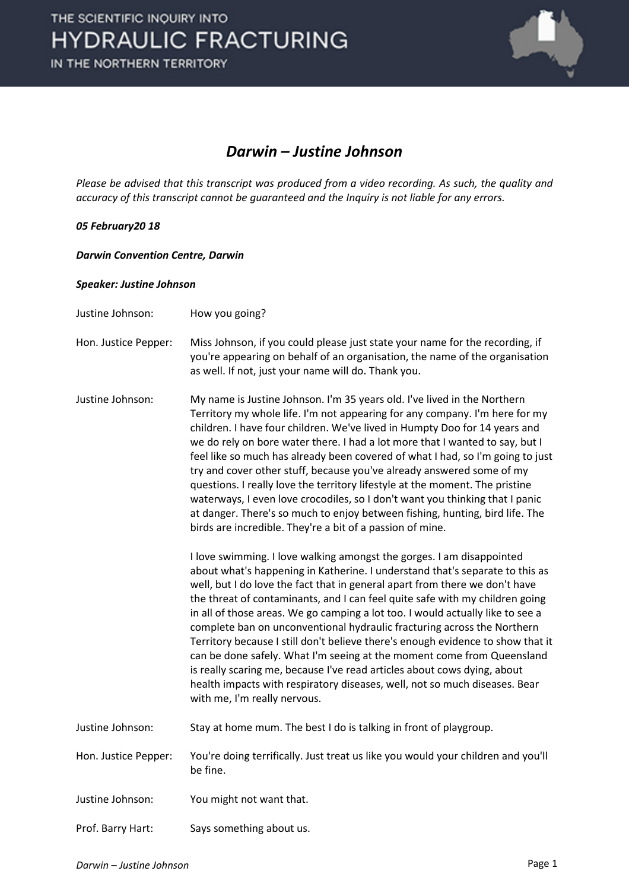

### *Darwin – Justine Johnson*

*Please be advised that this transcript was produced from a video recording. As such, the quality and accuracy of this transcript cannot be guaranteed and the Inquiry is not liable for any errors.*

### *05 February20 18*

*Darwin Convention Centre, Darwin* 

#### *Speaker: Justine Johnson*

- Justine Johnson: How you going?
- Hon. Justice Pepper: Miss Johnson, if you could please just state your name for the recording, if you're appearing on behalf of an organisation, the name of the organisation as well. If not, just your name will do. Thank you.
- Justine Johnson: My name is Justine Johnson. I'm 35 years old. I've lived in the Northern Territory my whole life. I'm not appearing for any company. I'm here for my children. I have four children. We've lived in Humpty Doo for 14 years and we do rely on bore water there. I had a lot more that I wanted to say, but I feel like so much has already been covered of what I had, so I'm going to just try and cover other stuff, because you've already answered some of my questions. I really love the territory lifestyle at the moment. The pristine waterways, I even love crocodiles, so I don't want you thinking that I panic at danger. There's so much to enjoy between fishing, hunting, bird life. The birds are incredible. They're a bit of a passion of mine.

I love swimming. I love walking amongst the gorges. I am disappointed about what's happening in Katherine. I understand that's separate to this as well, but I do love the fact that in general apart from there we don't have the threat of contaminants, and I can feel quite safe with my children going in all of those areas. We go camping a lot too. I would actually like to see a complete ban on unconventional hydraulic fracturing across the Northern Territory because I still don't believe there's enough evidence to show that it can be done safely. What I'm seeing at the moment come from Queensland is really scaring me, because I've read articles about cows dying, about health impacts with respiratory diseases, well, not so much diseases. Bear with me, I'm really nervous.

- Justine Johnson: Stay at home mum. The best I do is talking in front of playgroup.
- Hon. Justice Pepper: You're doing terrifically. Just treat us like you would your children and you'll be fine.
- Justine Johnson: You might not want that.
- Prof. Barry Hart: Says something about us.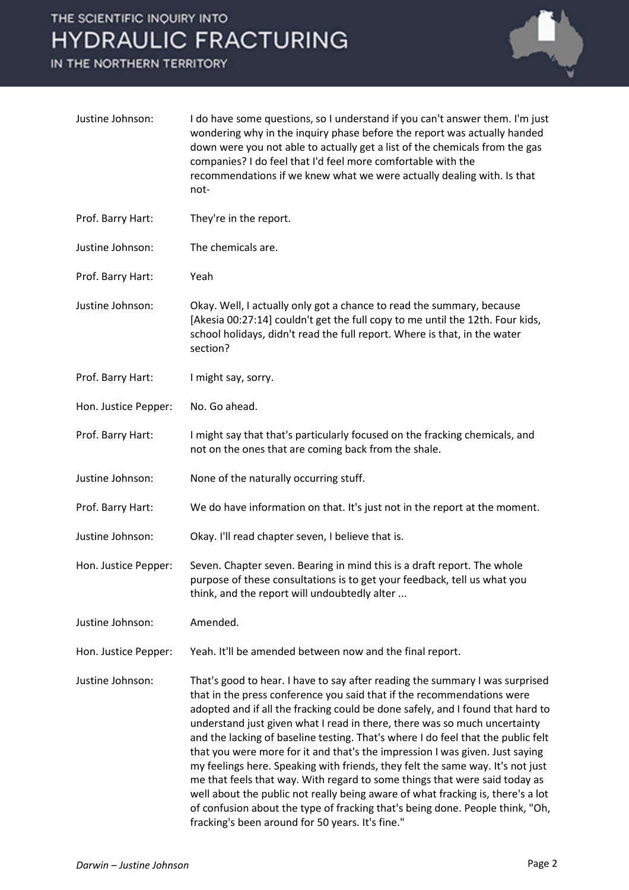## THE SCIENTIFIC INQUIRY INTO **HYDRAULIC FRACTURING**

IN THE NORTHERN TERRITORY



| Justine Johnson:     | I do have some questions, so I understand if you can't answer them. I'm just<br>wondering why in the inquiry phase before the report was actually handed<br>down were you not able to actually get a list of the chemicals from the gas<br>companies? I do feel that I'd feel more comfortable with the<br>recommendations if we knew what we were actually dealing with. Is that<br>not-                                                                                                                                                                                                                                                                                                                                                                                                                                                                                         |
|----------------------|-----------------------------------------------------------------------------------------------------------------------------------------------------------------------------------------------------------------------------------------------------------------------------------------------------------------------------------------------------------------------------------------------------------------------------------------------------------------------------------------------------------------------------------------------------------------------------------------------------------------------------------------------------------------------------------------------------------------------------------------------------------------------------------------------------------------------------------------------------------------------------------|
| Prof. Barry Hart:    | They're in the report.                                                                                                                                                                                                                                                                                                                                                                                                                                                                                                                                                                                                                                                                                                                                                                                                                                                            |
| Justine Johnson:     | The chemicals are.                                                                                                                                                                                                                                                                                                                                                                                                                                                                                                                                                                                                                                                                                                                                                                                                                                                                |
| Prof. Barry Hart:    | Yeah                                                                                                                                                                                                                                                                                                                                                                                                                                                                                                                                                                                                                                                                                                                                                                                                                                                                              |
| Justine Johnson:     | Okay. Well, I actually only got a chance to read the summary, because<br>[Akesia 00:27:14] couldn't get the full copy to me until the 12th. Four kids,<br>school holidays, didn't read the full report. Where is that, in the water<br>section?                                                                                                                                                                                                                                                                                                                                                                                                                                                                                                                                                                                                                                   |
| Prof. Barry Hart:    | I might say, sorry.                                                                                                                                                                                                                                                                                                                                                                                                                                                                                                                                                                                                                                                                                                                                                                                                                                                               |
| Hon. Justice Pepper: | No. Go ahead.                                                                                                                                                                                                                                                                                                                                                                                                                                                                                                                                                                                                                                                                                                                                                                                                                                                                     |
| Prof. Barry Hart:    | I might say that that's particularly focused on the fracking chemicals, and<br>not on the ones that are coming back from the shale.                                                                                                                                                                                                                                                                                                                                                                                                                                                                                                                                                                                                                                                                                                                                               |
| Justine Johnson:     | None of the naturally occurring stuff.                                                                                                                                                                                                                                                                                                                                                                                                                                                                                                                                                                                                                                                                                                                                                                                                                                            |
| Prof. Barry Hart:    | We do have information on that. It's just not in the report at the moment.                                                                                                                                                                                                                                                                                                                                                                                                                                                                                                                                                                                                                                                                                                                                                                                                        |
| Justine Johnson:     | Okay. I'll read chapter seven, I believe that is.                                                                                                                                                                                                                                                                                                                                                                                                                                                                                                                                                                                                                                                                                                                                                                                                                                 |
| Hon. Justice Pepper: | Seven. Chapter seven. Bearing in mind this is a draft report. The whole<br>purpose of these consultations is to get your feedback, tell us what you<br>think, and the report will undoubtedly alter                                                                                                                                                                                                                                                                                                                                                                                                                                                                                                                                                                                                                                                                               |
| Justine Johnson:     | Amended.                                                                                                                                                                                                                                                                                                                                                                                                                                                                                                                                                                                                                                                                                                                                                                                                                                                                          |
| Hon. Justice Pepper: | Yeah. It'll be amended between now and the final report.                                                                                                                                                                                                                                                                                                                                                                                                                                                                                                                                                                                                                                                                                                                                                                                                                          |
| Justine Johnson:     | That's good to hear. I have to say after reading the summary I was surprised<br>that in the press conference you said that if the recommendations were<br>adopted and if all the fracking could be done safely, and I found that hard to<br>understand just given what I read in there, there was so much uncertainty<br>and the lacking of baseline testing. That's where I do feel that the public felt<br>that you were more for it and that's the impression I was given. Just saying<br>my feelings here. Speaking with friends, they felt the same way. It's not just<br>me that feels that way. With regard to some things that were said today as<br>well about the public not really being aware of what fracking is, there's a lot<br>of confusion about the type of fracking that's being done. People think, "Oh,<br>fracking's been around for 50 years. It's fine." |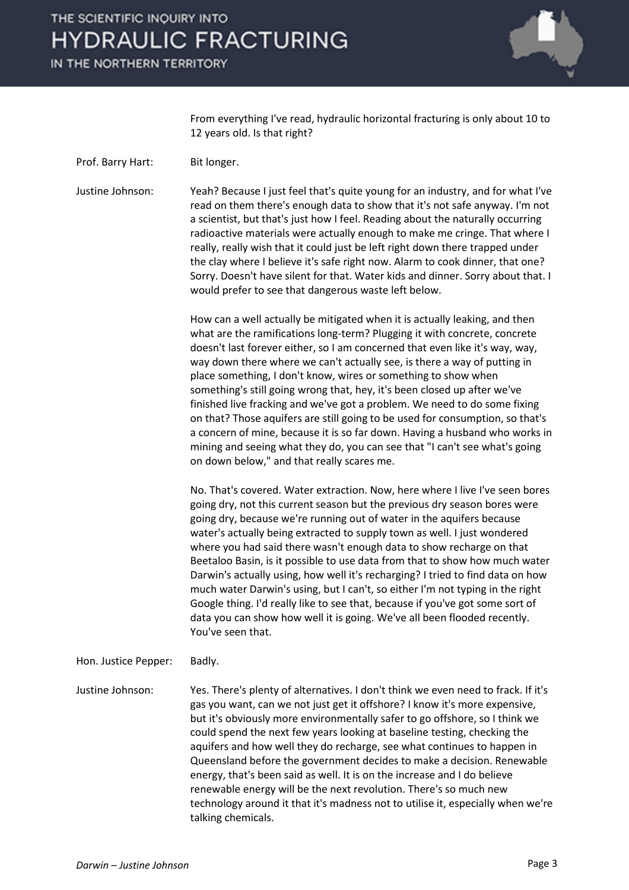# THE SCIENTIFIC INQUIRY INTO **HYDRAULIC FRACTURING**

IN THE NORTHERN TERRITORY



From everything I've read, hydraulic horizontal fracturing is only about 10 to 12 years old. Is that right?

Prof. Barry Hart: Bit longer.

Justine Johnson: Yeah? Because I just feel that's quite young for an industry, and for what I've read on them there's enough data to show that it's not safe anyway. I'm not a scientist, but that's just how I feel. Reading about the naturally occurring radioactive materials were actually enough to make me cringe. That where I really, really wish that it could just be left right down there trapped under the clay where I believe it's safe right now. Alarm to cook dinner, that one? Sorry. Doesn't have silent for that. Water kids and dinner. Sorry about that. I would prefer to see that dangerous waste left below.

> How can a well actually be mitigated when it is actually leaking, and then what are the ramifications long-term? Plugging it with concrete, concrete doesn't last forever either, so I am concerned that even like it's way, way, way down there where we can't actually see, is there a way of putting in place something, I don't know, wires or something to show when something's still going wrong that, hey, it's been closed up after we've finished live fracking and we've got a problem. We need to do some fixing on that? Those aquifers are still going to be used for consumption, so that's a concern of mine, because it is so far down. Having a husband who works in mining and seeing what they do, you can see that "I can't see what's going on down below," and that really scares me.

> No. That's covered. Water extraction. Now, here where I live I've seen bores going dry, not this current season but the previous dry season bores were going dry, because we're running out of water in the aquifers because water's actually being extracted to supply town as well. I just wondered where you had said there wasn't enough data to show recharge on that Beetaloo Basin, is it possible to use data from that to show how much water Darwin's actually using, how well it's recharging? I tried to find data on how much water Darwin's using, but I can't, so either I'm not typing in the right Google thing. I'd really like to see that, because if you've got some sort of data you can show how well it is going. We've all been flooded recently. You've seen that.

Hon. Justice Pepper: Badly.

Justine Johnson: Yes. There's plenty of alternatives. I don't think we even need to frack. If it's gas you want, can we not just get it offshore? I know it's more expensive, but it's obviously more environmentally safer to go offshore, so I think we could spend the next few years looking at baseline testing, checking the aquifers and how well they do recharge, see what continues to happen in Queensland before the government decides to make a decision. Renewable energy, that's been said as well. It is on the increase and I do believe renewable energy will be the next revolution. There's so much new technology around it that it's madness not to utilise it, especially when we're talking chemicals.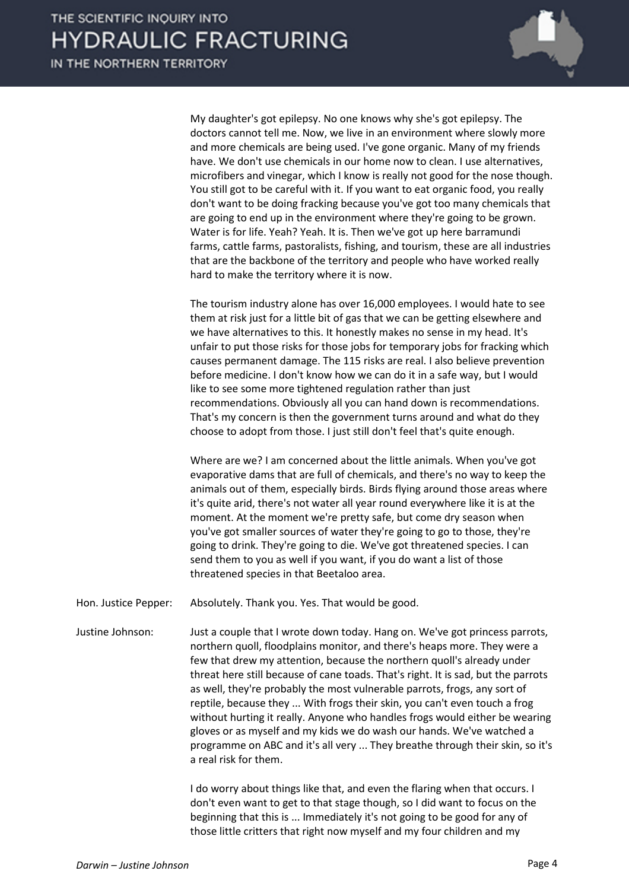IN THE NORTHERN TERRITORY



My daughter's got epilepsy. No one knows why she's got epilepsy. The doctors cannot tell me. Now, we live in an environment where slowly more and more chemicals are being used. I've gone organic. Many of my friends have. We don't use chemicals in our home now to clean. I use alternatives, microfibers and vinegar, which I know is really not good for the nose though. You still got to be careful with it. If you want to eat organic food, you really don't want to be doing fracking because you've got too many chemicals that are going to end up in the environment where they're going to be grown. Water is for life. Yeah? Yeah. It is. Then we've got up here barramundi farms, cattle farms, pastoralists, fishing, and tourism, these are all industries that are the backbone of the territory and people who have worked really hard to make the territory where it is now.

The tourism industry alone has over 16,000 employees. I would hate to see them at risk just for a little bit of gas that we can be getting elsewhere and we have alternatives to this. It honestly makes no sense in my head. It's unfair to put those risks for those jobs for temporary jobs for fracking which causes permanent damage. The 115 risks are real. I also believe prevention before medicine. I don't know how we can do it in a safe way, but I would like to see some more tightened regulation rather than just recommendations. Obviously all you can hand down is recommendations. That's my concern is then the government turns around and what do they choose to adopt from those. I just still don't feel that's quite enough.

Where are we? I am concerned about the little animals. When you've got evaporative dams that are full of chemicals, and there's no way to keep the animals out of them, especially birds. Birds flying around those areas where it's quite arid, there's not water all year round everywhere like it is at the moment. At the moment we're pretty safe, but come dry season when you've got smaller sources of water they're going to go to those, they're going to drink. They're going to die. We've got threatened species. I can send them to you as well if you want, if you do want a list of those threatened species in that Beetaloo area.

Hon. Justice Pepper: Absolutely. Thank you. Yes. That would be good.

Justine Johnson: Just a couple that I wrote down today. Hang on. We've got princess parrots, northern quoll, floodplains monitor, and there's heaps more. They were a few that drew my attention, because the northern quoll's already under threat here still because of cane toads. That's right. It is sad, but the parrots as well, they're probably the most vulnerable parrots, frogs, any sort of reptile, because they ... With frogs their skin, you can't even touch a frog without hurting it really. Anyone who handles frogs would either be wearing gloves or as myself and my kids we do wash our hands. We've watched a programme on ABC and it's all very ... They breathe through their skin, so it's a real risk for them.

> I do worry about things like that, and even the flaring when that occurs. I don't even want to get to that stage though, so I did want to focus on the beginning that this is ... Immediately it's not going to be good for any of those little critters that right now myself and my four children and my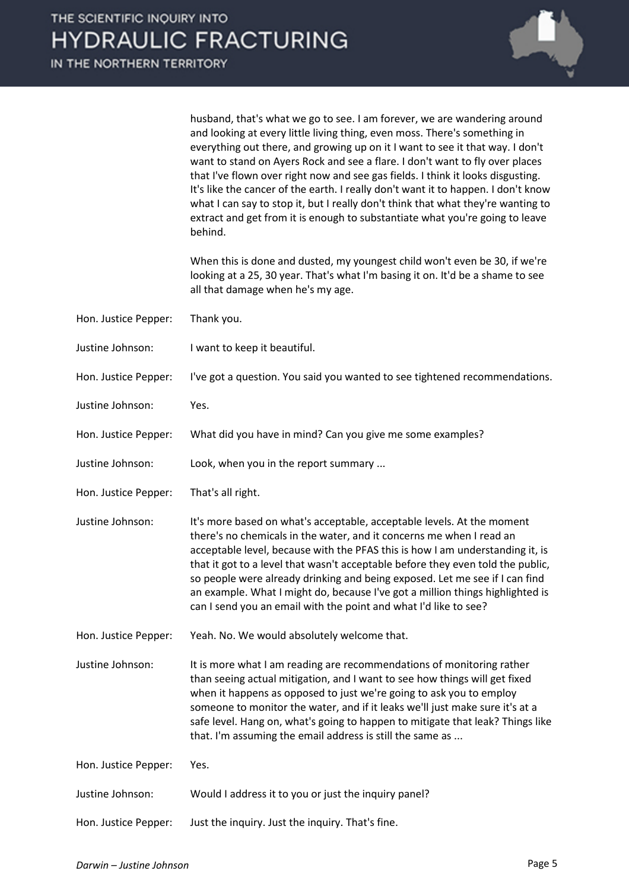

husband, that's what we go to see. I am forever, we are wandering around and looking at every little living thing, even moss. There's something in everything out there, and growing up on it I want to see it that way. I don't want to stand on Ayers Rock and see a flare. I don't want to fly over places that I've flown over right now and see gas fields. I think it looks disgusting. It's like the cancer of the earth. I really don't want it to happen. I don't know what I can say to stop it, but I really don't think that what they're wanting to extract and get from it is enough to substantiate what you're going to leave behind.

When this is done and dusted, my youngest child won't even be 30, if we're looking at a 25, 30 year. That's what I'm basing it on. It'd be a shame to see all that damage when he's my age.

- Hon. Justice Pepper: Thank you.
- Justine Johnson: I want to keep it beautiful.
- Hon. Justice Pepper: I've got a question. You said you wanted to see tightened recommendations.
- Justine Johnson: Yes.
- Hon. Justice Pepper: What did you have in mind? Can you give me some examples?
- Justine Johnson: Look, when you in the report summary ...
- Hon. Justice Pepper: That's all right.
- Justine Johnson: It's more based on what's acceptable, acceptable levels. At the moment there's no chemicals in the water, and it concerns me when I read an acceptable level, because with the PFAS this is how I am understanding it, is that it got to a level that wasn't acceptable before they even told the public, so people were already drinking and being exposed. Let me see if I can find an example. What I might do, because I've got a million things highlighted is can I send you an email with the point and what I'd like to see?
- Hon. Justice Pepper: Yeah. No. We would absolutely welcome that.

Justine Johnson: It is more what I am reading are recommendations of monitoring rather than seeing actual mitigation, and I want to see how things will get fixed when it happens as opposed to just we're going to ask you to employ someone to monitor the water, and if it leaks we'll just make sure it's at a safe level. Hang on, what's going to happen to mitigate that leak? Things like that. I'm assuming the email address is still the same as ...

| Hon. Justice Pepper: | Yes.                                                 |
|----------------------|------------------------------------------------------|
| Justine Johnson:     | Would I address it to you or just the inquiry panel? |
| Hon. Justice Pepper: | Just the inquiry. Just the inquiry. That's fine.     |